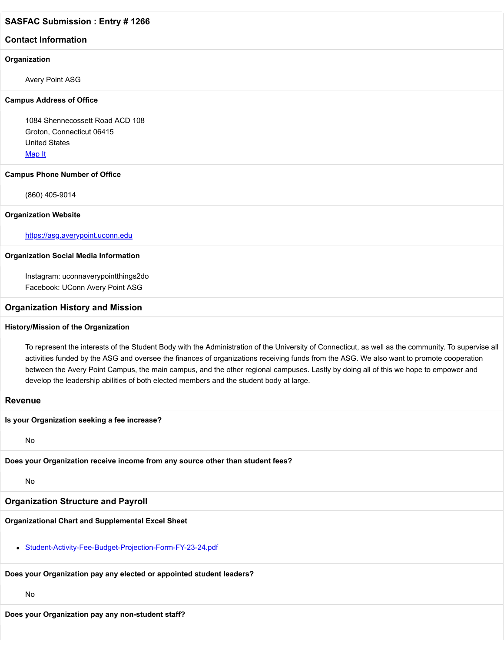# **SASFAC Submission : Entry # 1266**

# **Contact Information**

#### **Organization**

Avery Point ASG

#### **Campus Address of Office**

1084 Shennecossett Road ACD 108 Groton, Connecticut 06415 United States [Map It](http://maps.google.com/maps?q=1084+Shennecossett+Road+ACD+108+Groton%2C+Connecticut+06415+United+States)

#### **Campus Phone Number of Office**

(860) 405-9014

#### **Organization Website**

[https://asg.averypoint.uconn.edu](https://asg.averypoint.uconn.edu/)

#### **Organization Social Media Information**

Instagram: uconnaverypointthings2do Facebook: UConn Avery Point ASG

# **Organization History and Mission**

# **History/Mission of the Organization**

To represent the interests of the Student Body with the Administration of the University of Connecticut, as well as the community. To supervise all activities funded by the ASG and oversee the finances of organizations receiving funds from the ASG. We also want to promote cooperation between the Avery Point Campus, the main campus, and the other regional campuses. Lastly by doing all of this we hope to empower and develop the leadership abilities of both elected members and the student body at large.

## **Revenue**

**Is your Organization seeking a fee increase?**

No

**Does your Organization receive income from any source other than student fees?**

#### No

# **Organization Structure and Payroll**

# **Organizational Chart and Supplemental Excel Sheet**

[Student-Activity-Fee-Budget-Projection-Form-FY-23-24.pdf](https://trusteeorgsupport.uconn.edu/index.php?gf-download=2022%2F02%2FStudent-Activity-Fee-Budget-Projection-Form-FY-23-24.pdf&form-id=18&field-id=13&hash=3507926cd48391577b7afab7df01eab03ea553a343ee176b9212637021d52e2d)

# **Does your Organization pay any elected or appointed student leaders?**

No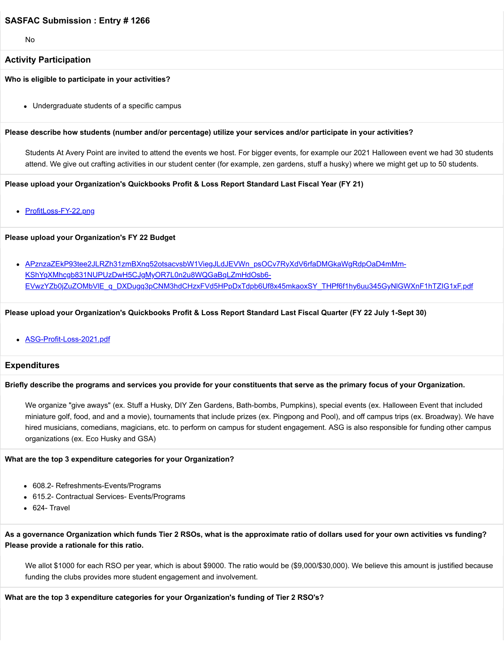# **SASFAC Submission : Entry # 1266**

No

## **Activity Participation**

**Who is eligible to participate in your activities?**

Undergraduate students of a specific campus

#### **Please describe how students (number and/or percentage) utilize your services and/or participate in your activities?**

Students At Avery Point are invited to attend the events we host. For bigger events, for example our 2021 Halloween event we had 30 students attend. We give out crafting activities in our student center (for example, zen gardens, stuff a husky) where we might get up to 50 students.

**Please upload your Organization's Quickbooks Profit & Loss Report Standard Last Fiscal Year (FY 21)**

• [ProfitLoss-FY-22.png](https://trusteeorgsupport.uconn.edu/index.php?gf-download=2022%2F02%2FProfitLoss-FY-22.png&form-id=18&field-id=62&hash=1650abd1544487ba4e71a6a15f9ed7a789840090c578dac66125f82fbea3e43a)

#### **Please upload your Organization's FY 22 Budget**

APznzaZEkP93tee2JLRZh31zmBXnq52otsacvsbW1ViegJLdJEVWn\_psOCv7RyXdV6rfaDMGkaWgRdpOaD4mMm-KShYqXMhcgb831NUPUzDwH5CJgMyOR7L0n2u8WQGaBqLZmHdOsb6- EVwzYZb0jZuZOMbVIE\_q\_DXDugq3pCNM3hdCHzxFVd5HPpDxTdpb6Uf8x45mkaoxSY\_THPf6f1hy6uu345GyNlGWXnF1hTZIG1xF.pdf

#### **Please upload your Organization's Quickbooks Profit & Loss Report Standard Last Fiscal Quarter (FY 22 July 1-Sept 30)**

[ASG-Profit-Loss-2021.pdf](https://trusteeorgsupport.uconn.edu/index.php?gf-download=2022%2F02%2FASG-Profit-Loss-2021.pdf&form-id=18&field-id=64&hash=962973cd38cf9ffce377a37600dfd7c3feb3a80d02309ec2aa0f7bd62d315471)

#### **Expenditures**

#### **Briefly describe the programs and services you provide for your constituents that serve as the primary focus of your Organization.**

We organize "give aways" (ex. Stuff a Husky, DIY Zen Gardens, Bath-bombs, Pumpkins), special events (ex. Halloween Event that included miniature golf, food, and and a movie), tournaments that include prizes (ex. Pingpong and Pool), and off campus trips (ex. Broadway). We have hired musicians, comedians, magicians, etc. to perform on campus for student engagement. ASG is also responsible for funding other campus organizations (ex. Eco Husky and GSA)

#### **What are the top 3 expenditure categories for your Organization?**

- 608.2- Refreshments-Events/Programs
- 615.2- Contractual Services- Events/Programs
- 624- Travel

**As a governance Organization which funds Tier 2 RSOs, what is the approximate ratio of dollars used for your own activities vs funding? Please provide a rationale for this ratio.**

We allot \$1000 for each RSO per year, which is about \$9000. The ratio would be (\$9,000/\$30,000). We believe this amount is justified because funding the clubs provides more student engagement and involvement.

#### **What are the top 3 expenditure categories for your Organization's funding of Tier 2 RSO's?**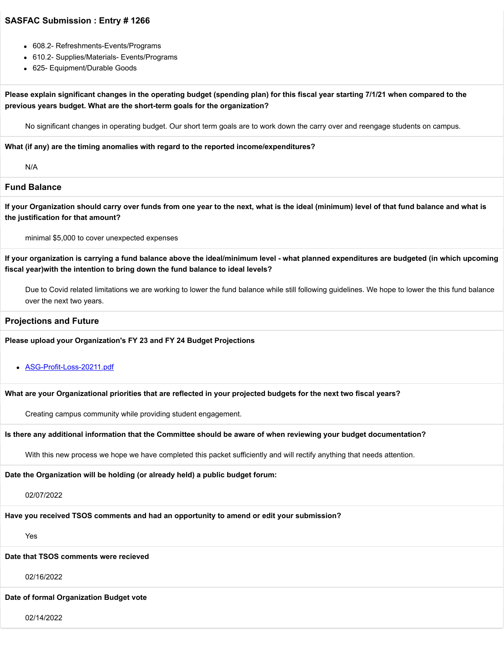# **SASFAC Submission : Entry # 1266**

- 608.2- Refreshments-Events/Programs
- 610.2- Supplies/Materials- Events/Programs
- 625- Equipment/Durable Goods

# **Please explain significant changes in the operating budget (spending plan) for this fiscal year starting 7/1/21 when compared to the previous years budget. What are the short-term goals for the organization?**

No significant changes in operating budget. Our short term goals are to work down the carry over and reengage students on campus.

**What (if any) are the timing anomalies with regard to the reported income/expenditures?**

N/A

#### **Fund Balance**

**If your Organization should carry over funds from one year to the next, what is the ideal (minimum) level of that fund balance and what is the justification for that amount?**

minimal \$5,000 to cover unexpected expenses

**If your organization is carrying a fund balance above the ideal/minimum level - what planned expenditures are budgeted (in which upcoming fiscal year)with the intention to bring down the fund balance to ideal levels?**

Due to Covid related limitations we are working to lower the fund balance while still following guidelines. We hope to lower the this fund balance over the next two years.

#### **Projections and Future**

#### **Please upload your Organization's FY 23 and FY 24 Budget Projections**

**[ASG-Profit-Loss-20211.pdf](https://trusteeorgsupport.uconn.edu/index.php?gf-download=2022%2F02%2FASG-Profit-Loss-20211.pdf&form-id=18&field-id=63&hash=fbef16f94c49e0d1d30a6859abdbd670e66b0b81a1b9c54995b5a7e3b5a0796b)** 

#### **What are your Organizational priorities that are reflected in your projected budgets for the next two fiscal years?**

Creating campus community while providing student engagement.

#### **Is there any additional information that the Committee should be aware of when reviewing your budget documentation?**

With this new process we hope we have completed this packet sufficiently and will rectify anything that needs attention.

**Date the Organization will be holding (or already held) a public budget forum:**

02/07/2022

**Have you received TSOS comments and had an opportunity to amend or edit your submission?**

Yes

# **Date that TSOS comments were recieved**

02/16/2022

# **Date of formal Organization Budget vote**

02/14/2022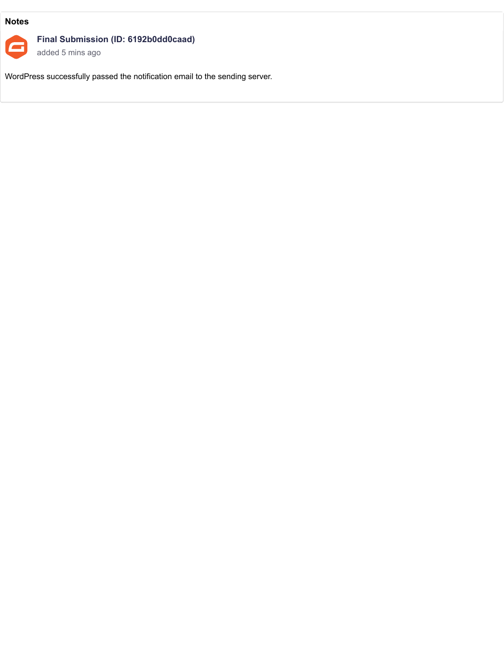# **Notes**



# **Final Submission (ID: 6192b0dd0caad)**

added 5 mins ago

WordPress successfully passed the notification email to the sending server.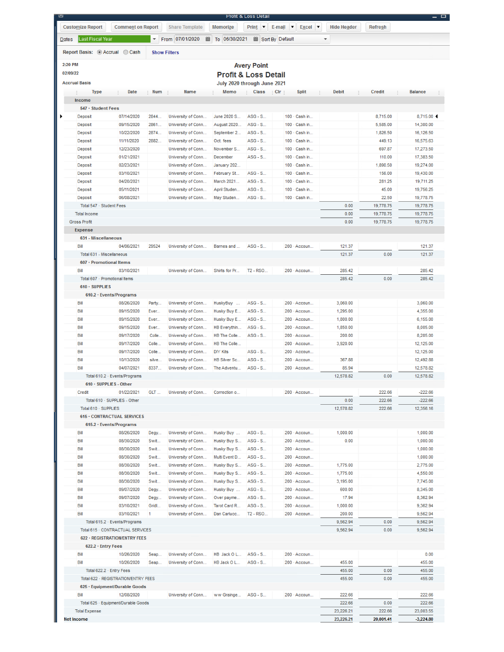| Report Basis: Accrual Cash    |                                     |            | <b>Show Filters</b> |                 |                                 |                                 |               |           |           |                |
|-------------------------------|-------------------------------------|------------|---------------------|-----------------|---------------------------------|---------------------------------|---------------|-----------|-----------|----------------|
| 2:20 PM                       |                                     |            |                     |                 |                                 |                                 |               |           |           |                |
| 02/09/22                      |                                     |            |                     |                 | <b>Avery Point</b>              |                                 |               |           |           |                |
| <b>Accrual Basis</b>          |                                     |            |                     |                 | <b>Profit &amp; Loss Detail</b> |                                 |               |           |           |                |
|                               |                                     |            |                     |                 | July 2020 through June 2021     |                                 |               |           |           |                |
| <b>Type</b><br>÷              | Date                                | : Num      | Name                | Memo            | Class                           | $\rightarrow$ Clr $\rightarrow$ | <b>Split</b>  | Debit     | Credit    | <b>Balance</b> |
| Income<br>547 · Student Fees  |                                     |            |                     |                 |                                 |                                 |               |           |           |                |
| Deposit                       | 07/14/2020                          | 2844       | University of Conn  | June 2020 S     | ASG - S                         |                                 | 100 · Cash in |           | 8,715.00  | 8,715.00 4     |
| Deposit                       | 09/15/2020                          | 2861       | University of Conn  | August 2020     | $ASG - S$                       |                                 | 100 - Cash in |           | 5,585.00  | 14,300.00      |
| Deposit                       | 10/22/2020                          | 2874       | University of Conn  | September 2     | $ASG - S$                       |                                 | 100 - Cash in |           | 1,826.50  | 16,126.50      |
| Deposit                       | 11/11/2020                          | 2882       | University of Conn  | Oct. fees       | $ASG - S$                       |                                 | 100 · Cash in |           | 449.13    | 16,575.63      |
| Deposit                       | 12/23/2020                          |            | University of Conn  | November S      | ASG - S                         |                                 | 100 · Cash in |           | 697.87    | 17,273.50      |
| Deposit                       | 01/21/2021                          |            | University of Conn  | December        | ASG - S                         |                                 | 100 - Cash in |           | 110.00    | 17,383.50      |
| Deposit                       | 02/23/2021                          |            | University of Conn  | January 202     |                                 |                                 | 100 - Cash in |           | 1,890.50  | 19,274.00      |
| Deposit                       | 03/10/2021                          |            | University of Conn  | February St     | ASG - S                         |                                 | 100 - Cash in |           | 156.00    | 19,430.00      |
| Deposit                       | 04/20/2021                          |            | University of Conn  | March 2021      | ASG - S                         |                                 | 100 · Cash in |           | 281.25    | 19,711.25      |
| Deposit                       | 05/11/2021                          |            | University of Conn  | April Studen    | ASG - S                         |                                 | 100 - Cash in |           | 45.00     | 19,756.25      |
| Deposit                       | 06/08/2021                          |            | University of Conn  | May Studen      | ASG - S                         |                                 | 100 - Cash in |           | 22.50     | 19,778.75      |
| Total 547 - Student Fees      |                                     |            |                     |                 |                                 |                                 |               | 0.00      | 19,778.75 | 19,778.75      |
| <b>Total Income</b>           |                                     |            |                     |                 |                                 |                                 |               | 0.00      | 19,778.75 | 19,778.75      |
| <b>Gross Profit</b>           |                                     |            |                     |                 |                                 |                                 |               | 0.00      | 19,778.75 | 19,778.75      |
| Expense                       |                                     |            |                     |                 |                                 |                                 |               |           |           |                |
| 631 - Miscellaneous           |                                     |            |                     |                 |                                 |                                 |               |           |           |                |
| Bill                          | 04/06/2021                          | 29524      | University of Conn  | Barnes and      | ASG - S                         |                                 | 200 - Accoun  | 121.37    |           | 121.37         |
| Total 631 - Miscellaneous     |                                     |            |                     |                 |                                 |                                 |               | 121.37    | 0.00      | 121.37         |
| 607 · Promotional Items       |                                     |            |                     |                 |                                 |                                 |               |           |           |                |
| Bill                          | 03/10/2021                          |            | University of Conn  | Shirts for Pr   | T2 - RSO                        |                                 | 200 - Accoun  | 285.42    |           | 285.42         |
| Total 607 - Promotional Items |                                     |            |                     |                 |                                 |                                 |               | 285.42    | 0.00      | 285.42         |
| 610 · SUPPLIES                |                                     |            |                     |                 |                                 |                                 |               |           |           |                |
|                               | 610.2 · Events/Programs             |            |                     |                 |                                 |                                 |               |           |           |                |
| Bill                          | 08/26/2020                          | Party      | University of Conn  | HuskyBuy        | $ASG - S$                       |                                 | 200 - Accoun  | 3,060.00  |           | 3,060.00       |
| Bill                          | 09/15/2020                          | Ever       | University of Conn  | Husky Buy E     | $ASG - S$                       |                                 | 200 - Accoun  | 1,295.00  |           | 4,355.00       |
| Bill                          | 09/15/2020                          | Ever       | University of Conn  | Husky Buy E     | ASG - S                         |                                 | 200 - Accoun  | 1,800.00  |           | 6,155.00       |
| Bill                          | 09/15/2020                          | Ever       | University of Conn  | HB Everythin    | ASG - S                         |                                 | 200 - Accoun  | 1,850.00  |           | 8,005.00       |
| Bill                          | 09/17/2020                          | Colle      | University of Conn  | HB The Colle    | $ASG - S$                       |                                 | 200 - Accoun  | 200.00    |           | 8,205.00       |
| Bill                          | 09/17/2020                          | Colle      | University of Conn  | HB The Colle    |                                 |                                 | 200 - Accoun  | 3,920.00  |           | 12,125.00      |
| Bill                          | 09/17/2020                          | Colle      | University of Conn  | <b>DIY Kits</b> | ASG - S                         |                                 | 200 - Accoun  |           |           | 12,125.00      |
| Bill                          | 10/13/2020                          | silve      | University of Conn  | HB Silver Sc    | ASG - S                         |                                 | 200 - Accoun  | 367.88    |           | 12,492.88      |
| Bill                          | 04/07/2021                          | 8337       | University of Conn  | The Adventu     | $ASG - S$                       |                                 | 200 - Accoun  | 85.94     |           | 12,578.82      |
|                               | Total 610.2 · Events/Programs       |            |                     |                 |                                 |                                 |               | 12,578.82 | 0.00      | 12,578.82      |
| 610 · SUPPLIES - Other        |                                     |            |                     |                 |                                 |                                 |               |           |           |                |
| Credit                        | 01/22/2021                          | <b>GLT</b> | University of Conn  | Correction o    |                                 |                                 | 200 - Accoun  |           | 222.66    | $-222.66$      |
|                               | Total 610 · SUPPLIES - Other        |            |                     |                 |                                 |                                 |               | 0.00      | 222.66    | $-222.66$      |
| Total 610 - SUPPLIES          |                                     |            |                     |                 |                                 |                                 |               | 12,578.82 | 222.66    | 12,356.16      |
|                               | <b>615 - CONTRACTUAL SERVICES</b>   |            |                     |                 |                                 |                                 |               |           |           |                |
|                               | 615.2 · Events/Programs             |            |                     |                 |                                 |                                 |               |           |           |                |
| Bill                          | 08/26/2020                          | Degy       | University of Conn  | Husky Buy       | ASG - S                         |                                 | 200 - Accoun  | 1,000.00  |           | 1,000.00       |
| Bill                          | 08/30/2020                          | Swit       | University of Conn  | Husky Buy S     | ASG - S                         |                                 | 200 - Accoun  | 0.00      |           | 1,000.00       |
| Bill                          | 08/30/2020                          | Swit       | University of Conn  | Husky Buy S     | $ASG - S$                       |                                 | 200 - Accoun  |           |           | 1,000.00       |
| Bill                          | 08/30/2020                          | Swit       | University of Conn  | Multi Event D   | $ASG - S$                       |                                 | 200 - Accoun  |           |           | 1,000.00       |
| Bill                          | 08/30/2020                          | Swit       | University of Conn  | Husky Buy S     | ASG - S                         |                                 | 200 - Accoun  | 1,775.00  |           | 2.775.00       |
| Bill                          | 08/30/2020                          | Swit       | University of Conn  | Husky Buy S     | $ASG - S$                       |                                 | 200 - Accoun  | 1,775.00  |           | 4,550.00       |
| Bill                          | 08/30/2020                          | Swit       | University of Conn  | Husky Buy S     | ASG - S                         |                                 | 200 - Accoun  | 3,195.00  |           | 7,745.00       |
| Bill                          | 09/07/2020                          | Degy       | University of Conn  | Husky Buy       | ASG - S                         |                                 | 200 - Accoun  | 600.00    |           | 8,345.00       |
| Bill                          | 09/07/2020                          | Degy       | University of Conn  | Over payme      | ASG - S                         |                                 | 200 - Accoun  | 17.94     |           | 8,362.94       |
| Bill                          | 03/10/2021                          | Gridl      | University of Conn  | Tarot Card R    | ASG - S                         |                                 | 200 - Accoun  | 1,000.00  |           | 9,362.94       |
| Bill                          | 03/10/2021                          | 1          | University of Conn  | Dan Carlucc     | T2 - RSO                        |                                 | 200 - Accoun  | 200.00    |           | 9,562.94       |
|                               | Total 615.2 · Events/Programs       |            |                     |                 |                                 |                                 |               | 9,562.94  | 0.00      | 9,562.94       |
|                               | Total 615 - CONTRACTUAL SERVICES    |            |                     |                 |                                 |                                 |               | 9,562.94  | 0.00      | 9,562.94       |
|                               | 622 · REGISTRATION/ENTRY FEES       |            |                     |                 |                                 |                                 |               |           |           |                |
| 622.2 · Entry Fees            |                                     |            |                     |                 |                                 |                                 |               |           |           |                |
| Bill                          | 10/26/2020                          | Seap       | University of Conn  | HB Jack O L     | $ASG - S$                       |                                 | 200 - Accoun  |           |           | 0.00           |
| Bill                          | 10/26/2020                          | Seap       | University of Conn  | HB Jack O L     | ASG - S                         |                                 | 200 - Accoun  | 455.00    |           | 455.00         |
| Total 622.2 · Entry Fees      |                                     |            |                     |                 |                                 |                                 |               | 455.00    | 0.00      | 455.00         |
|                               | Total 622 - REGISTRATION/ENTRY FEES |            |                     |                 |                                 |                                 |               | 455.00    | 0.00      | 455.00         |
|                               | 625 · Equipment/Durable Goods       |            |                     |                 |                                 |                                 |               |           |           |                |
| Bill                          | 12/08/2020                          |            | University of Conn  | ww Grainge      | $ASG - S$                       |                                 | 200 - Accoun  | 222.66    |           | 222.66         |
|                               | Total 625 - Equipment/Durable Goods |            |                     |                 |                                 |                                 |               | 222.66    | 0.00      | 222.66         |
|                               |                                     |            |                     |                 |                                 |                                 |               | 23,226.21 | 222.66    | 23,003.55      |
| <b>Total Expense</b>          |                                     |            |                     |                 |                                 |                                 |               |           |           |                |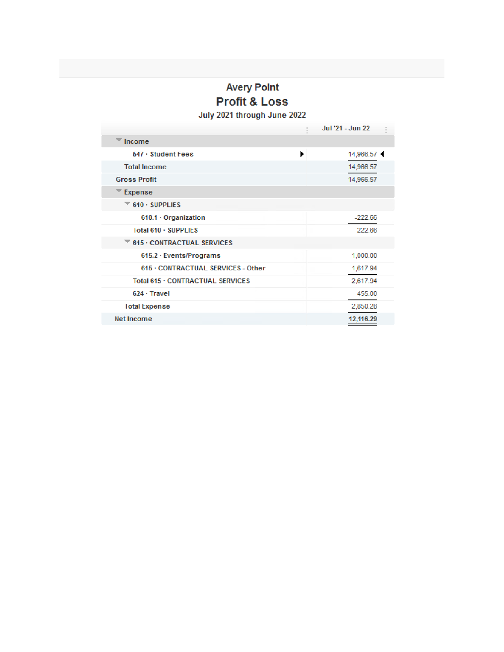# **Avery Point Profit & Loss**

July 2021 through June 2022

|                                                           | Jul '21 - Jun 22 |
|-----------------------------------------------------------|------------------|
| Income                                                    |                  |
| 547 · Student Fees                                        | Þ<br>14,966.57   |
| <b>Total Income</b>                                       | 14,966.57        |
| <b>Gross Profit</b>                                       | 14,966.57        |
| Expense                                                   |                  |
| 610 · SUPPLIES                                            |                  |
| 610.1 · Organization                                      | $-222.66$        |
| Total 610 · SUPPLIES                                      | $-222.66$<br>۰   |
| $\overline{\phantom{a}}$ 615 $\cdot$ CONTRACTUAL SERVICES |                  |
| 615.2 · Events/Programs                                   | 1,000.00         |
| 615 . CONTRACTUAL SERVICES - Other                        | 1,617.94         |
| Total 615 . CONTRACTUAL SERVICES                          | 2,617.94         |
| 624 · Travel                                              | 455.00           |
| <b>Total Expense</b>                                      | 2,850.28         |
| <b>Net Income</b>                                         | 12,116.29        |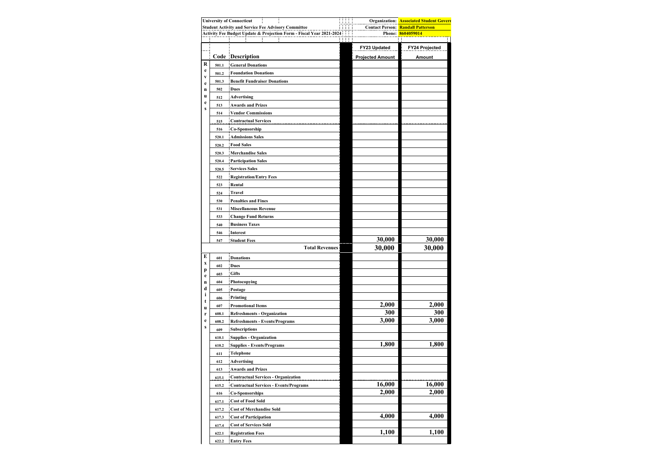| <b>University of Connecticut</b><br>11<br><b>Student Activity and Service Fee Advisory Committee</b> |       |                                                                      |  |                         | <b>Organization: Associated Student Govern</b><br><b>Contact Person: Randall Patterson</b> |
|------------------------------------------------------------------------------------------------------|-------|----------------------------------------------------------------------|--|-------------------------|--------------------------------------------------------------------------------------------|
|                                                                                                      |       | Activity Fee Budget Update & Projection Form - Fiscal Year 2021-2024 |  |                         | Phone: 8604059014                                                                          |
|                                                                                                      |       |                                                                      |  |                         |                                                                                            |
|                                                                                                      |       |                                                                      |  | FY23 Updated            | FY24 Projected                                                                             |
|                                                                                                      |       | Code Description                                                     |  | <b>Projected Amount</b> | <b>Amount</b>                                                                              |
| R                                                                                                    | 501.1 | <b>General Donations</b>                                             |  |                         |                                                                                            |
| e                                                                                                    | 501.2 | <b>Foundation Donations</b>                                          |  |                         |                                                                                            |
| V                                                                                                    | 501.3 | <b>Benefit Fundraiser Donations</b>                                  |  |                         |                                                                                            |
| e<br>n                                                                                               | 502   | Dues                                                                 |  |                         |                                                                                            |
| u                                                                                                    | 512   | Advertising                                                          |  |                         |                                                                                            |
| e                                                                                                    | 513   | <b>Awards and Prizes</b>                                             |  |                         |                                                                                            |
| S                                                                                                    | 514   | <b>Vendor Commissions</b>                                            |  |                         |                                                                                            |
|                                                                                                      |       | <b>Contractual Services</b>                                          |  |                         |                                                                                            |
|                                                                                                      | 515   |                                                                      |  |                         |                                                                                            |
|                                                                                                      | 516   | Co-Sponsorship                                                       |  |                         |                                                                                            |
|                                                                                                      | 520.1 | <b>Admissions Sales</b>                                              |  |                         |                                                                                            |
|                                                                                                      | 520.2 | <b>Food Sales</b>                                                    |  |                         |                                                                                            |
|                                                                                                      | 520.3 | <b>Merchandise Sales</b>                                             |  |                         |                                                                                            |
|                                                                                                      | 520.4 | <b>Participation Sales</b>                                           |  |                         |                                                                                            |
|                                                                                                      | 520.5 | <b>Services Sales</b>                                                |  |                         |                                                                                            |
|                                                                                                      | 522   | <b>Registration/Entry Fees</b>                                       |  |                         |                                                                                            |
|                                                                                                      | 523   | Rental                                                               |  |                         |                                                                                            |
|                                                                                                      | 524   | Travel                                                               |  |                         |                                                                                            |
|                                                                                                      | 530   | <b>Penalties and Fines</b>                                           |  |                         |                                                                                            |
|                                                                                                      | 531   | <b>Miscellaneous Revenue</b>                                         |  |                         |                                                                                            |
|                                                                                                      | 533   | <b>Change Fund Returns</b>                                           |  |                         |                                                                                            |
|                                                                                                      | 540   | <b>Business Taxes</b>                                                |  |                         |                                                                                            |
|                                                                                                      | 546   | Interest                                                             |  |                         |                                                                                            |
|                                                                                                      | 547   | <b>Student Fees</b>                                                  |  | 30,000                  | 30,000                                                                                     |
|                                                                                                      |       | <b>Total Revenues</b>                                                |  | 30,000                  | 30,000                                                                                     |
| E                                                                                                    | 601   | <b>Donations</b>                                                     |  |                         |                                                                                            |
| X                                                                                                    | 602   | <b>Dues</b>                                                          |  |                         |                                                                                            |
| p<br>e                                                                                               | 603   | <b>Gifts</b>                                                         |  |                         |                                                                                            |
| n                                                                                                    | 604   | Photocopying                                                         |  |                         |                                                                                            |
| d                                                                                                    | 605   | Postage                                                              |  |                         |                                                                                            |
| i                                                                                                    | 606   | Printing                                                             |  |                         |                                                                                            |
| t<br>u                                                                                               | 607   | <b>Promotional Items</b>                                             |  | 2,000                   | 2,000                                                                                      |
| r                                                                                                    | 608.1 | <b>Refreshments - Organization</b>                                   |  | 300                     | 300                                                                                        |
| e                                                                                                    | 608.2 | <b>Refreshments - Events/Programs</b>                                |  | 3,000                   | 3,000                                                                                      |
| S                                                                                                    | 609   | <b>Subscriptions</b>                                                 |  |                         |                                                                                            |
|                                                                                                      | 610.1 | Supplies - Organization                                              |  |                         |                                                                                            |
|                                                                                                      | 610.2 | <b>Supplies - Events/Programs</b>                                    |  | 1.800                   | 1,800                                                                                      |
|                                                                                                      | 611   | Telephone                                                            |  |                         |                                                                                            |
|                                                                                                      | 612   | Advertising                                                          |  |                         |                                                                                            |
|                                                                                                      | 613   | <b>Awards and Prizes</b>                                             |  |                         |                                                                                            |
|                                                                                                      | 615.1 | <b>Contractual Services - Organization</b>                           |  |                         |                                                                                            |
|                                                                                                      | 615.2 | <b>Contractual Services - Events/Programs</b>                        |  | 16,000                  | 16,000                                                                                     |
|                                                                                                      | 616   | <b>Co-Sponsorships</b>                                               |  | 2,000                   | 2,000                                                                                      |
|                                                                                                      | 617.1 | <b>Cost of Food Sold</b>                                             |  |                         |                                                                                            |
|                                                                                                      | 617.2 | <b>Cost of Merchandise Sold</b>                                      |  |                         |                                                                                            |
|                                                                                                      | 617.3 | <b>Cost of Participation</b>                                         |  | 4,000                   | 4,000                                                                                      |
|                                                                                                      | 617.4 | <b>Cost of Services Sold</b>                                         |  |                         |                                                                                            |
|                                                                                                      | 622.1 | <b>Registration Fees</b>                                             |  | 1,100                   | 1,100                                                                                      |
|                                                                                                      | 622.2 | <b>Entry Fees</b>                                                    |  |                         |                                                                                            |
|                                                                                                      |       |                                                                      |  |                         |                                                                                            |